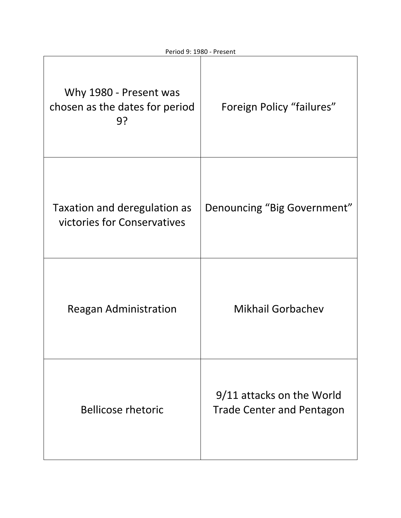| Why 1980 - Present was<br>chosen as the dates for period<br>9? | Foreign Policy "failures"                                     |
|----------------------------------------------------------------|---------------------------------------------------------------|
| Taxation and deregulation as<br>victories for Conservatives    | Denouncing "Big Government"                                   |
| <b>Reagan Administration</b>                                   | <b>Mikhail Gorbachev</b>                                      |
| <b>Bellicose rhetoric</b>                                      | 9/11 attacks on the World<br><b>Trade Center and Pentagon</b> |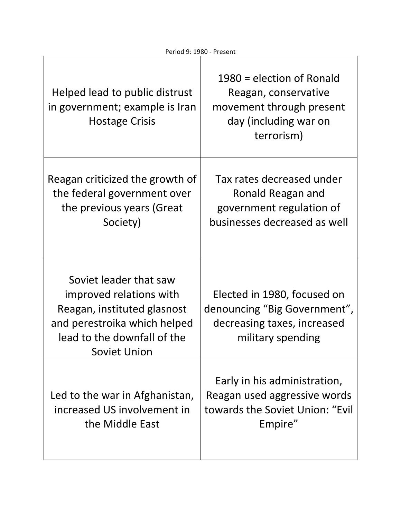| FEITUU 3. 1300 - FIESEIR                                                                                                                                               |                                                                                                                        |
|------------------------------------------------------------------------------------------------------------------------------------------------------------------------|------------------------------------------------------------------------------------------------------------------------|
| Helped lead to public distrust<br>in government; example is Iran<br><b>Hostage Crisis</b>                                                                              | $1980$ = election of Ronald<br>Reagan, conservative<br>movement through present<br>day (including war on<br>terrorism) |
| Reagan criticized the growth of<br>the federal government over<br>the previous years (Great<br>Society)                                                                | Tax rates decreased under<br>Ronald Reagan and<br>government regulation of<br>businesses decreased as well             |
| Soviet leader that saw<br>improved relations with<br>Reagan, instituted glasnost<br>and perestroika which helped<br>lead to the downfall of the<br><b>Soviet Union</b> | Elected in 1980, focused on<br>denouncing "Big Government",<br>decreasing taxes, increased<br>military spending        |
| Led to the war in Afghanistan,<br>increased US involvement in<br>the Middle East                                                                                       | Early in his administration,<br>Reagan used aggressive words<br>towards the Soviet Union: "Evil<br>Empire"             |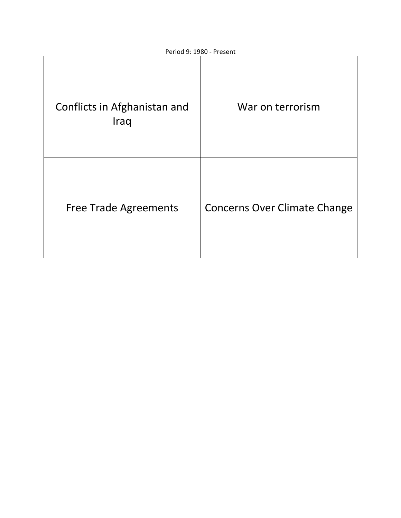| Conflicts in Afghanistan and<br>Iraq | War on terrorism                    |
|--------------------------------------|-------------------------------------|
| <b>Free Trade Agreements</b>         | <b>Concerns Over Climate Change</b> |